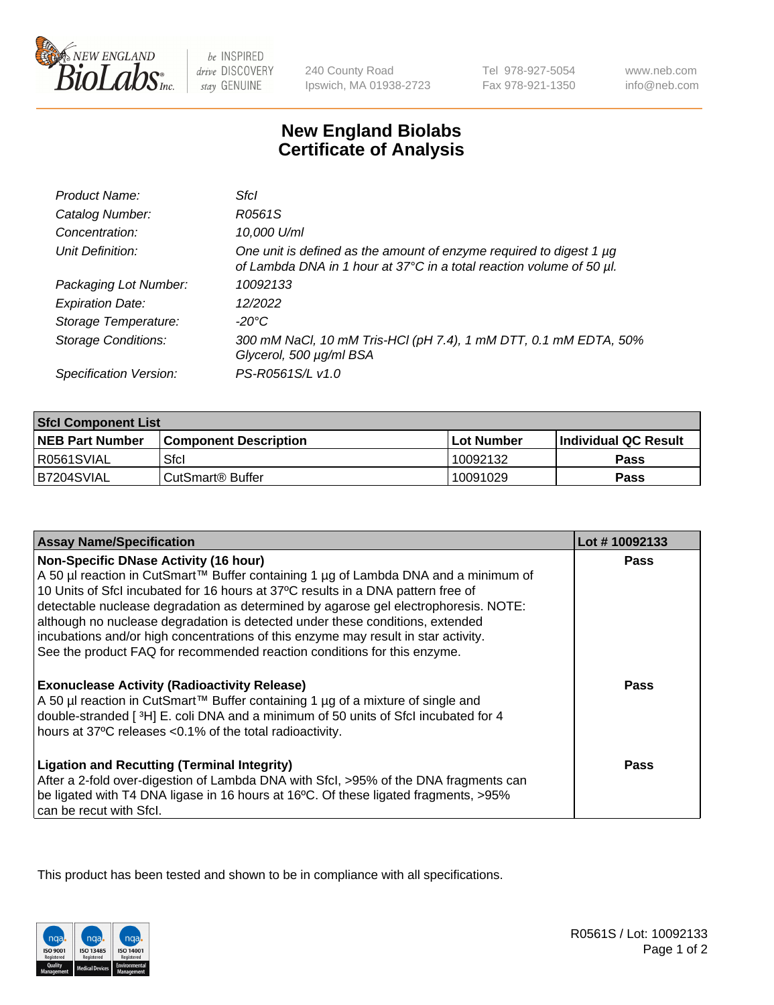

 $be$  INSPIRED drive DISCOVERY stay GENUINE

240 County Road Ipswich, MA 01938-2723 Tel 978-927-5054 Fax 978-921-1350

www.neb.com info@neb.com

## **New England Biolabs Certificate of Analysis**

| Product Name:              | Sfcl                                                                                                                                        |
|----------------------------|---------------------------------------------------------------------------------------------------------------------------------------------|
| Catalog Number:            | R0561S                                                                                                                                      |
| Concentration:             | 10,000 U/ml                                                                                                                                 |
| Unit Definition:           | One unit is defined as the amount of enzyme required to digest 1 µg<br>of Lambda DNA in 1 hour at 37°C in a total reaction volume of 50 µl. |
| Packaging Lot Number:      | 10092133                                                                                                                                    |
| <b>Expiration Date:</b>    | 12/2022                                                                                                                                     |
| Storage Temperature:       | -20°C                                                                                                                                       |
| <b>Storage Conditions:</b> | 300 mM NaCl, 10 mM Tris-HCl (pH 7.4), 1 mM DTT, 0.1 mM EDTA, 50%<br>Glycerol, 500 µg/ml BSA                                                 |
| Specification Version:     | PS-R0561S/L v1.0                                                                                                                            |

| <b>Sfcl Component List</b> |                              |              |                             |  |
|----------------------------|------------------------------|--------------|-----------------------------|--|
| <b>NEB Part Number</b>     | <b>Component Description</b> | l Lot Number | <b>Individual QC Result</b> |  |
| I R0561SVIAL               | Sfcl                         | 10092132     | Pass                        |  |
| B7204SVIAL                 | l CutSmart® Buffer           | 10091029     | Pass                        |  |

| <b>Assay Name/Specification</b>                                                                                                                                                                                                                                                                                                                                                                                                                                                                                                                                   | Lot #10092133 |
|-------------------------------------------------------------------------------------------------------------------------------------------------------------------------------------------------------------------------------------------------------------------------------------------------------------------------------------------------------------------------------------------------------------------------------------------------------------------------------------------------------------------------------------------------------------------|---------------|
| <b>Non-Specific DNase Activity (16 hour)</b><br>A 50 µl reaction in CutSmart™ Buffer containing 1 µg of Lambda DNA and a minimum of<br>10 Units of SfcI incubated for 16 hours at 37°C results in a DNA pattern free of<br>detectable nuclease degradation as determined by agarose gel electrophoresis. NOTE:<br>although no nuclease degradation is detected under these conditions, extended<br>incubations and/or high concentrations of this enzyme may result in star activity.<br>See the product FAQ for recommended reaction conditions for this enzyme. | <b>Pass</b>   |
| <b>Exonuclease Activity (Radioactivity Release)</b><br>A 50 µl reaction in CutSmart™ Buffer containing 1 µg of a mixture of single and<br>double-stranded [3H] E. coli DNA and a minimum of 50 units of Sfcl incubated for 4<br>hours at 37°C releases <0.1% of the total radioactivity.                                                                                                                                                                                                                                                                          | Pass          |
| <b>Ligation and Recutting (Terminal Integrity)</b><br>After a 2-fold over-digestion of Lambda DNA with Sfcl, >95% of the DNA fragments can<br>be ligated with T4 DNA ligase in 16 hours at 16°C. Of these ligated fragments, >95%<br>can be recut with Sfcl.                                                                                                                                                                                                                                                                                                      | Pass          |

This product has been tested and shown to be in compliance with all specifications.